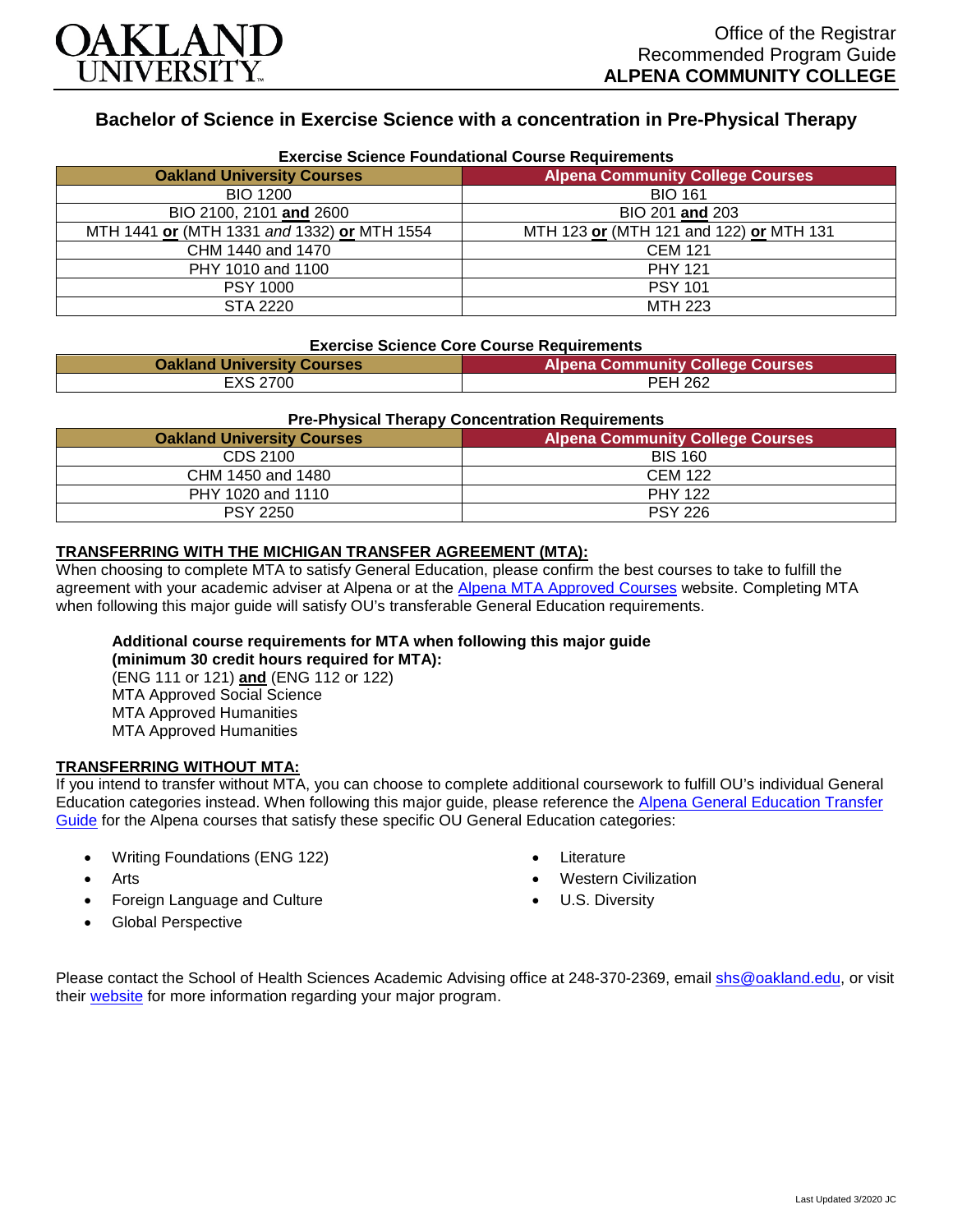

# **Bachelor of Science in Exercise Science with a concentration in Pre-Physical Therapy**

| <b>Exercise Science Foundational Course Requirements</b> |                                         |  |
|----------------------------------------------------------|-----------------------------------------|--|
| <b>Oakland University Courses</b>                        | <b>Alpena Community College Courses</b> |  |
| <b>BIO 1200</b>                                          | <b>BIO 161</b>                          |  |
| BIO 2100, 2101 and 2600                                  | BIO 201 and 203                         |  |
| MTH 1441 or (MTH 1331 and 1332) or MTH 1554              | MTH 123 or (MTH 121 and 122) or MTH 131 |  |
| CHM 1440 and 1470                                        | <b>CEM 121</b>                          |  |
| PHY 1010 and 1100                                        | <b>PHY 121</b>                          |  |
| <b>PSY 1000</b>                                          | <b>PSY 101</b>                          |  |
| STA 2220                                                 | <b>MTH 223</b>                          |  |

#### **Exercise Science Core Course Requirements**

| <b>Oakland University Courses</b> | <b>Alpena Community College Courses</b> |
|-----------------------------------|-----------------------------------------|
| <b>EXS 2700</b>                   | <b>PEH 262</b>                          |

#### **Pre-Physical Therapy Concentration Requirements**

| <b>Oakland University Courses</b> | <b>Alpena Community College Courses</b> |
|-----------------------------------|-----------------------------------------|
| CDS 2100                          | <b>BIS 160</b>                          |
| CHM 1450 and 1480                 | CEM 122                                 |
| PHY 1020 and 1110                 | <b>PHY 122</b>                          |
| <b>PSY 2250</b>                   | <b>PSY 226</b>                          |

## **TRANSFERRING WITH THE MICHIGAN TRANSFER AGREEMENT (MTA):**

When choosing to complete MTA to satisfy General Education, please confirm the best courses to take to fulfill the agreement with your academic adviser at Alpena or at the [Alpena MTA Approved Courses](https://discover.alpenacc.edu/admissions/current_students/MTA.php) website. Completing MTA when following this major guide will satisfy OU's transferable General Education requirements.

## **Additional course requirements for MTA when following this major guide**

**(minimum 30 credit hours required for MTA):** (ENG 111 or 121) **and** (ENG 112 or 122) MTA Approved Social Science MTA Approved Humanities MTA Approved Humanities

#### **TRANSFERRING WITHOUT MTA:**

If you intend to transfer without MTA, you can choose to complete additional coursework to fulfill OU's individual General Education categories instead. When following this major guide, please reference the [Alpena General Education Transfer](https://www.oakland.edu/Assets/Oakland/program-guides/alpena-community-college/university-general-education-requirements/Alpena%20Gen%20Ed.pdf)  [Guide](https://www.oakland.edu/Assets/Oakland/program-guides/alpena-community-college/university-general-education-requirements/Alpena%20Gen%20Ed.pdf) for the Alpena courses that satisfy these specific OU General Education categories:

- Writing Foundations (ENG 122)
- **Arts**
- Foreign Language and Culture
- Global Perspective
- **Literature**
- Western Civilization
- U.S. Diversity

Please contact the School of Health Sciences Academic Advising office at 248-370-2369, email [shs@oakland.edu,](mailto:shs@oakland.edu) or visit their [website](http://www.oakland.edu/shs/advising) for more information regarding your major program.